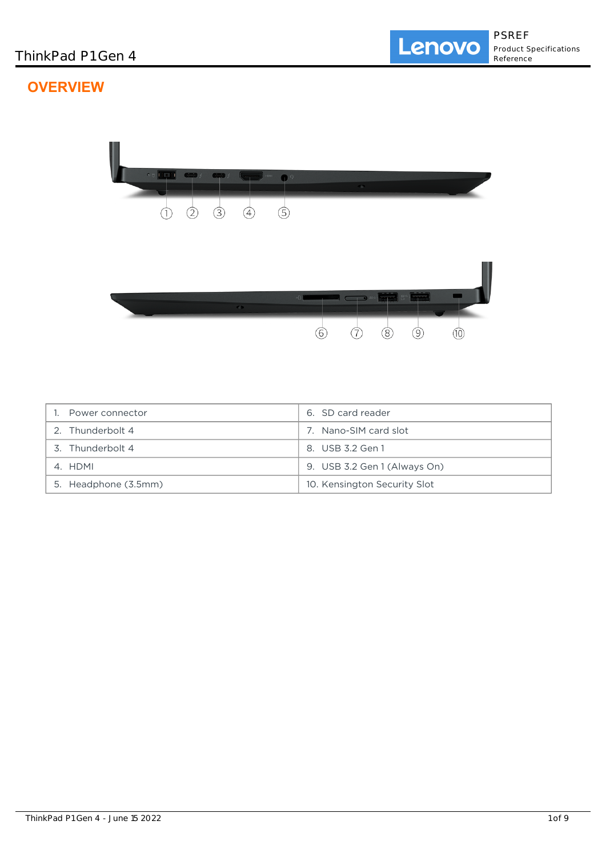# **OVERVIEW**



| Power connector      | 6. SD card reader            |
|----------------------|------------------------------|
| 2. Thunderbolt 4     | 7. Nano-SIM card slot        |
| 3. Thunderbolt 4     | 8. USB 3.2 Gen 1             |
| 4. HDMI              | 9. USB 3.2 Gen 1 (Always On) |
| 5. Headphone (3.5mm) | 10. Kensington Security Slot |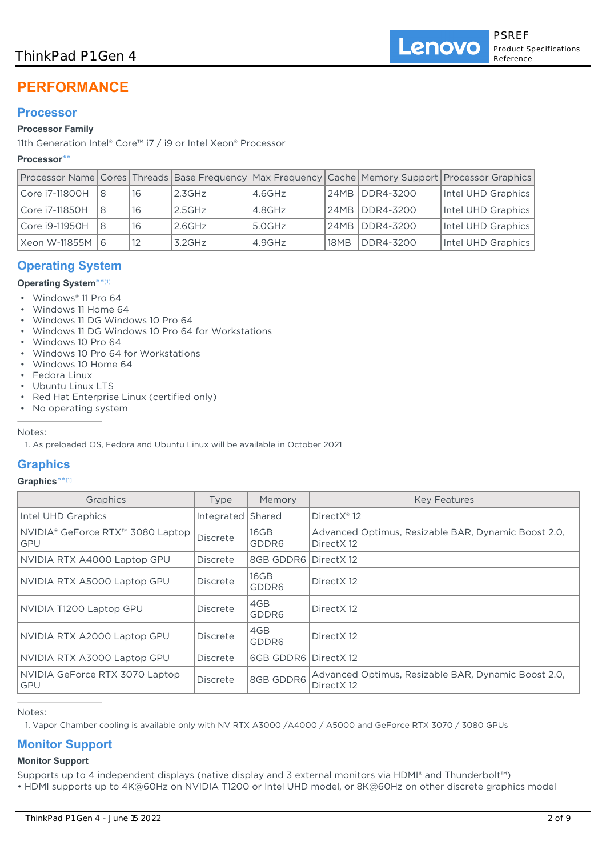## ThinkPad P1 Gen 4

# **PERFORMANCE**

## **Processor**

## **Processor Family**

11th Generation Intel® Core™ i7 / i9 or Intel Xeon® Processor

## **Processor**\*\*

|                   |     |    |           |        |      |                  | Processor Name Cores Threads Base Frequency Max Frequency Cache Memory Support Processor Graphics |
|-------------------|-----|----|-----------|--------|------|------------------|---------------------------------------------------------------------------------------------------|
| Core i7-11800H    |     | 16 | 2.3GHz    | 4.6GHz |      | 24MB   DDR4-3200 | Intel UHD Graphics                                                                                |
| Core i7-11850H    | 18  | 16 | 2.5GHz    | 4.8GHz |      | 24MB DDR4-3200   | Intel UHD Graphics                                                                                |
| Core i9-11950H    | l 8 | 16 | $2.6$ GHz | 5.0GHz |      | 24MB DDR4-3200   | Intel UHD Graphics                                                                                |
| Xeon W-11855M   6 |     |    | $3.2$ GHz | 4.9GHz | 18MB | DDR4-3200        | Intel UHD Graphics                                                                                |

## **Operating System**

## **Operating System**\*\* [1]

- Windows® 11 Pro 64
- Windows 11 Home 64
- Windows 11 DG Windows 10 Pro 64
- Windows 11 DG Windows 10 Pro 64 for Workstations
- Windows 10 Pro 64
- Windows 10 Pro 64 for Workstations
- Windows 10 Home 64
- Fedora Linux
- Ubuntu Linux LTS
- Red Hat Enterprise Linux (certified only)
- No operating system

Notes:

1. As preloaded OS, Fedora and Ubuntu Linux will be available in October 2021

## **Graphics**

#### **Graphics**\*\* [1]

| Graphics                                     | Type            | Memory        | <b>Key Features</b>                                                |
|----------------------------------------------|-----------------|---------------|--------------------------------------------------------------------|
| Intel UHD Graphics                           | Integrated      | Shared        | DirectX <sup>®</sup> 12                                            |
| NVIDIA® GeForce RTX™ 3080 Laptop<br>GPU      | Discrete        | 16GB<br>GDDR6 | Advanced Optimus, Resizable BAR, Dynamic Boost 2.0,<br>Direct X 12 |
| NVIDIA RTX A4000 Laptop GPU                  | <b>Discrete</b> | 8GB GDDR6     | Direct X 12                                                        |
| NVIDIA RTX A5000 Laptop GPU                  | <b>Discrete</b> | 16GB<br>GDDR6 | Direct X12                                                         |
| NVIDIA T1200 Laptop GPU                      | <b>Discrete</b> | 4GB<br>GDDR6  | Direct X 12                                                        |
| NVIDIA RTX A2000 Laptop GPU                  | <b>Discrete</b> | 4GB<br>GDDR6  | Direct X 12                                                        |
| NVIDIA RTX A3000 Laptop GPU                  | Discrete        | 6GB GDDR6     | Direct X 12                                                        |
| NVIDIA GeForce RTX 3070 Laptop<br><b>GPU</b> | <b>Discrete</b> | 8GB GDDR6     | Advanced Optimus, Resizable BAR, Dynamic Boost 2.0,<br>Direct X12  |

Notes:

1. Vapor Chamber cooling is available only with NV RTX A3000 /A4000 / A5000 and GeForce RTX 3070 / 3080 GPUs

## **Monitor Support**

#### **Monitor Support**

Supports up to 4 independent displays (native display and 3 external monitors via HDMI® and Thunderbolt™)

• HDMI supports up to 4K@60Hz on NVIDIA T1200 or Intel UHD model, or 8K@60Hz on other discrete graphics model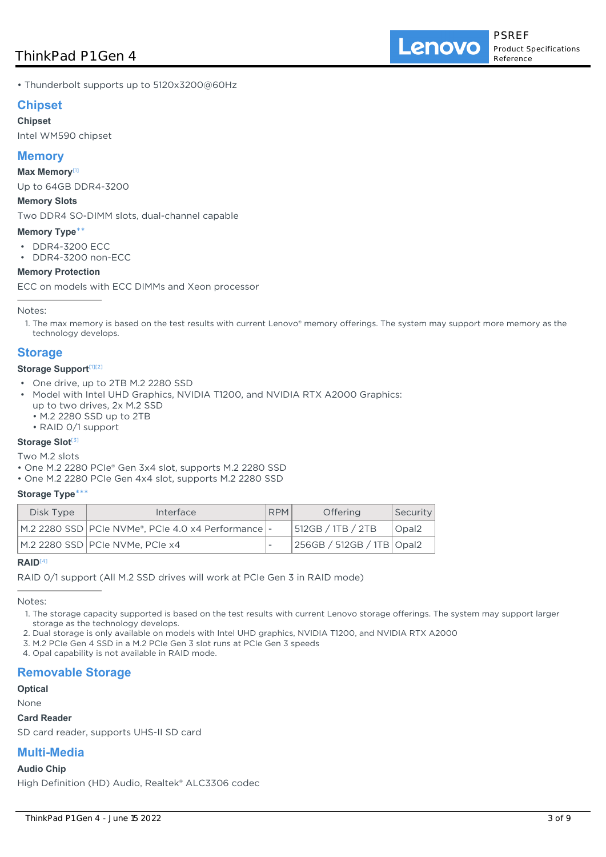• Thunderbolt supports up to 5120x3200@60Hz

## **Chipset**

#### **Chipset**

Intel WM590 chipset

## **Memory**

#### **Max Memory**[1]

Up to 64GB DDR4-3200

#### **Memory Slots**

Two DDR4 SO-DIMM slots, dual-channel capable

#### **Memory Type**\*\*

• DDR4-3200 ECC

• DDR4-3200 non-ECC

#### **Memory Protection**

ECC on models with ECC DIMMs and Xeon processor

Notes:

1. The max memory is based on the test results with current Lenovo® memory offerings. The system may support more memory as the technology develops.

## **Storage**

#### **Storage Support**<sup>[1][2]</sup>

- One drive, up to 2TB M.2 2280 SSD
- Model with Intel UHD Graphics, NVIDIA T1200, and NVIDIA RTX A2000 Graphics: •
	- up to two drives, 2x M.2 SSD
	- M.2 2280 SSD up to 2TB
	- RAID 0/1 support

#### **Storage Slot**<sup>[3]</sup>

Two M.2 slots

- One M.2 2280 PCIe® Gen 3x4 slot, supports M.2 2280 SSD
- One M.2 2280 PCIe Gen 4x4 slot, supports M.2 2280 SSD

#### **Storage Type**\*\*\*

| Disk Type | Interface                                             | <b>RPM</b> | Offering                  | Security |
|-----------|-------------------------------------------------------|------------|---------------------------|----------|
|           | M.2 2280 SSD   PCIe NVMe®, PCIe 4.0 x4 Performance  - |            | 512GB / 1TB / 2TB         | Opal2    |
|           | M.2 2280 SSD PCIe NVMe, PCIe x4                       |            | 256GB / 512GB / 1TB Opal2 |          |

#### **RAID**[4]

RAID 0/1 support (All M.2 SSD drives will work at PCIe Gen 3 in RAID mode)

Notes:

- 1. The storage capacity supported is based on the test results with current Lenovo storage offerings. The system may support larger storage as the technology develops.
- 2. Dual storage is only available on models with Intel UHD graphics, NVIDIA T1200, and NVIDIA RTX A2000
- 3. M.2 PCIe Gen 4 SSD in a M.2 PCIe Gen 3 slot runs at PCIe Gen 3 speeds
- 4. Opal capability is not available in RAID mode.

## **Removable Storage**

**Optical**

None

#### **Card Reader**

SD card reader, supports UHS-II SD card

## **Multi-Media**

#### **Audio Chip**

High Definition (HD) Audio, Realtek® ALC3306 codec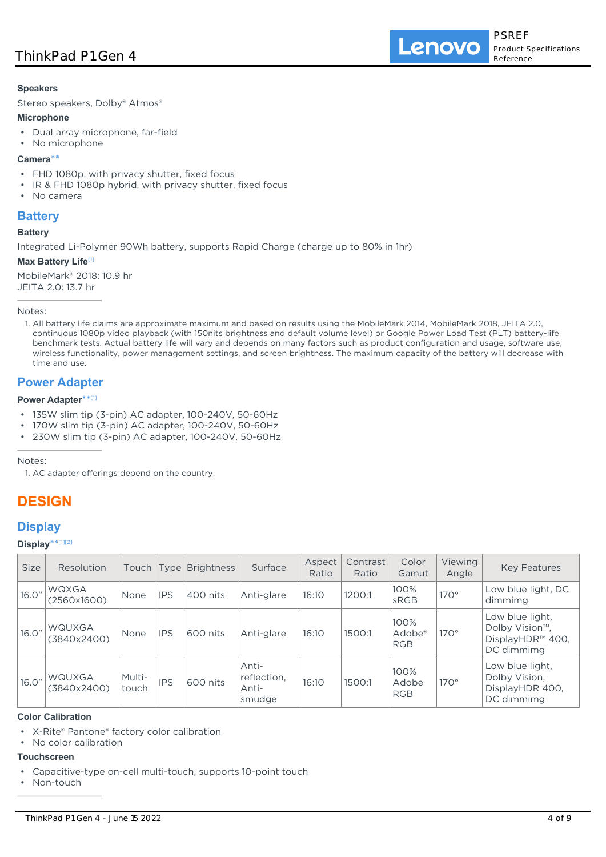#### **Speakers**

Stereo speakers, Dolby® Atmos®

#### **Microphone**

- Dual array microphone, far-field
- No microphone

#### **Camera**\*\*

- FHD 1080p, with privacy shutter, fixed focus
- IR & FHD 1080p hybrid, with privacy shutter, fixed focus
- No camera

## **Battery**

#### **Battery**

Integrated Li-Polymer 90Wh battery, supports Rapid Charge (charge up to 80% in 1hr)

#### **Max Battery Life**[1]

MobileMark® 2018: 10.9 hr JEITA 2.0: 13.7 hr

Notes:

1. All battery life claims are approximate maximum and based on results using the MobileMark 2014, MobileMark 2018, JEITA 2.0, continuous 1080p video playback (with 150nits brightness and default volume level) or Google Power Load Test (PLT) battery-life benchmark tests. Actual battery life will vary and depends on many factors such as product configuration and usage, software use, wireless functionality, power management settings, and screen brightness. The maximum capacity of the battery will decrease with time and use.

## **Power Adapter**

#### **Power Adapter**\*\* [1]

- 135W slim tip (3-pin) AC adapter, 100-240V, 50-60Hz
- 170W slim tip (3-pin) AC adapter, 100-240V, 50-60Hz
- 230W slim tip (3-pin) AC adapter, 100-240V, 50-60Hz

Notes:

1. AC adapter offerings depend on the country.

## **DESIGN**

## **Display**

#### **Display**\*\* [1][2]

| <b>Size</b> | Resolution            | Touch           |            | Type   Brightness | Surface                                 | Aspect<br>Ratio | Contrast<br>Ratio | Color<br>Gamut                           | Viewing<br>Angle | <b>Key Features</b>                                                              |
|-------------|-----------------------|-----------------|------------|-------------------|-----------------------------------------|-----------------|-------------------|------------------------------------------|------------------|----------------------------------------------------------------------------------|
| 16.0"       | WQXGA<br>(2560x1600)  | None            | <b>IPS</b> | 400 nits          | Anti-glare                              | 16:10           | 1200:1            | 100%<br>sRGB                             | $170^\circ$      | Low blue light, DC<br>dimmima                                                    |
| 16.0"       | WQUXGA<br>(3840x2400) | None            | <b>IPS</b> | 600 nits          | Anti-glare                              | 16:10           | 1500:1            | 100%<br>Adobe <sup>®</sup><br><b>RGB</b> | $170^\circ$      | Low blue light,<br>Dolby Vision <sup>™</sup> .<br>DisplayHDR™ 400,<br>DC dimmimg |
| 16.0"       | WQUXGA<br>(3840x2400) | Multi-<br>touch | <b>IPS</b> | 600 nits          | Anti-<br>reflection,<br>Anti-<br>smudge | 16:10           | 1500:1            | 100%<br>Adobe<br><b>RGB</b>              | $170^\circ$      | Low blue light,<br>Dolby Vision,<br>DisplayHDR 400,<br>DC dimmimg                |

### **Color Calibration**

- X-Rite® Pantone® factory color calibration
- No color calibration

#### **Touchscreen**

- Capacitive-type on-cell multi-touch, supports 10-point touch
- Non-touch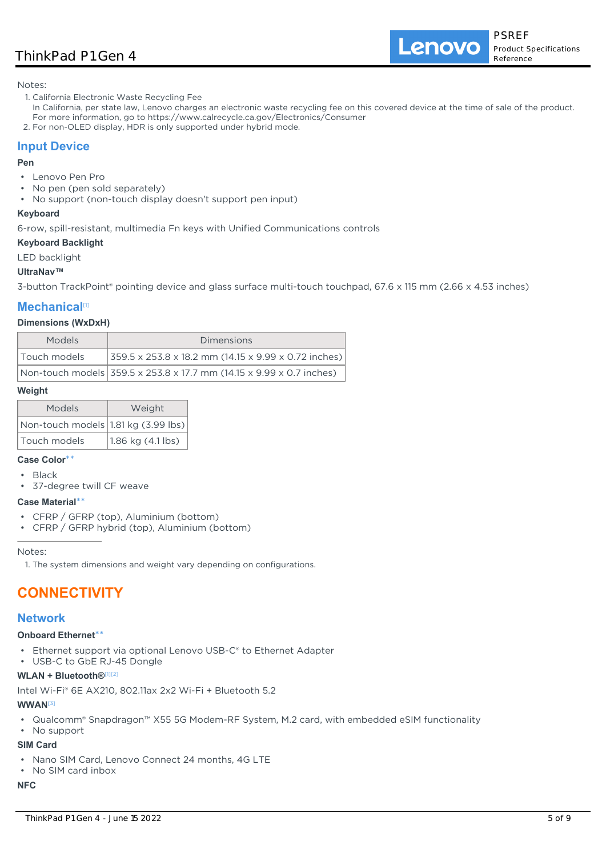## ThinkPad P1 Gen 4

Lenovo

Notes:

- 1. California Electronic Waste Recycling Fee
- In California, per state law, Lenovo charges an electronic waste recycling fee on this covered device at the time of sale of the product. For more information, go to https://www.calrecycle.ca.gov/Electronics/Consumer
- 2. For non-OLED display, HDR is only supported under hybrid mode.

## **Input Device**

#### **Pen**

- Lenovo Pen Pro
- No pen (pen sold separately)
- No support (non-touch display doesn't support pen input)

#### **Keyboard**

6-row, spill-resistant, multimedia Fn keys with Unified Communications controls

#### **Keyboard Backlight**

LED backlight

#### **UltraNav™**

3-button TrackPoint® pointing device and glass surface multi-touch touchpad, 67.6 x 115 mm (2.66 x 4.53 inches)

## **Mechanical**[1]

#### **Dimensions (WxDxH)**

| <b>Models</b> | Dimensions                                                                |
|---------------|---------------------------------------------------------------------------|
| Touch models  | $ 359.5 \times 253.8 \times 18.2 \text{ mm}$ (14.15 x 9.99 x 0.72 inches) |
|               | Non-touch models 359.5 x 253.8 x 17.7 mm (14.15 x 9.99 x 0.7 inches)      |

#### **Weight**

| Models                                         | Weight            |  |  |  |
|------------------------------------------------|-------------------|--|--|--|
| $ $ Non-touch models $ 1.81$ kg (3.99 lbs) $ $ |                   |  |  |  |
| Touch models                                   | 1.86 kg (4.1 lbs) |  |  |  |

#### **Case Color**\*\*

- Black
- 37-degree twill CF weave

#### **Case Material**\*\*

- CFRP / GFRP (top), Aluminium (bottom)
- CFRP / GFRP hybrid (top), Aluminium (bottom)

Notes:

1. The system dimensions and weight vary depending on configurations.

# **CONNECTIVITY**

#### **Network**

#### **Onboard Ethernet**\*\*

- Ethernet support via optional Lenovo USB-C® to Ethernet Adapter
- USB-C to GbE RJ-45 Dongle

#### **WLAN + Bluetooth®**[1][2]

Intel Wi-Fi® 6E AX210, 802.11ax 2x2 Wi-Fi + Bluetooth 5.2

#### **WWAN**[3]

• Qualcomm® Snapdragon™ X55 5G Modem-RF System, M.2 card, with embedded eSIM functionality

## • No support

## **SIM Card**

- Nano SIM Card, Lenovo Connect 24 months, 4G LTE
- No SIM card inbox

## **NFC**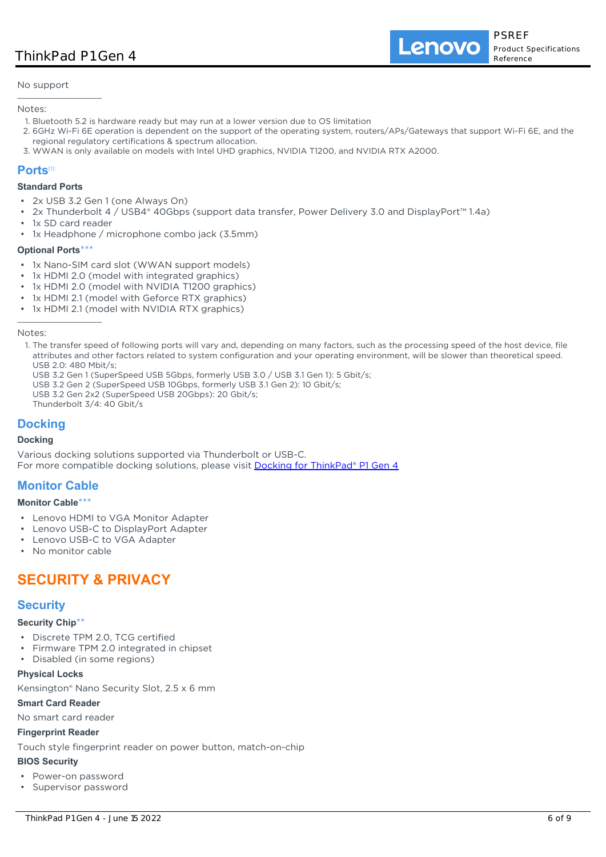No support

#### Notes:

- 1. Bluetooth 5.2 is hardware ready but may run at a lower version due to OS limitation
- 2. 6GHz Wi-Fi 6E operation is dependent on the support of the operating system, routers/APs/Gateways that support Wi-Fi 6E, and the regional regulatory certifications & spectrum allocation.
- 3. WWAN is only available on models with Intel UHD graphics, NVIDIA T1200, and NVIDIA RTX A2000.

#### **Ports**[1]

#### **Standard Ports**

- 2x USB 3.2 Gen 1 (one Always On)
- 2x Thunderbolt 4 / USB4® 40Gbps (support data transfer, Power Delivery 3.0 and DisplayPort™ 1.4a)
- 1x SD card reader
- 1x Headphone / microphone combo jack (3.5mm)

#### **Optional Ports\*\***

- 1x Nano-SIM card slot (WWAN support models)
- 1x HDMI 2.0 (model with integrated graphics)
- 1x HDMI 2.0 (model with NVIDIA T1200 graphics)
- 1x HDMI 2.1 (model with Geforce RTX graphics)
- 1x HDMI 2.1 (model with NVIDIA RTX graphics)

#### Notes:

- 1. The transfer speed of following ports will vary and, depending on many factors, such as the processing speed of the host device, file attributes and other factors related to system configuration and your operating environment, will be slower than theoretical speed. USB 2.0: 480 Mbit/s;
- USB 3.2 Gen 1 (SuperSpeed USB 5Gbps, formerly USB 3.0 / USB 3.1 Gen 1): 5 Gbit/s;
- USB 3.2 Gen 2 (SuperSpeed USB 10Gbps, formerly USB 3.1 Gen 2): 10 Gbit/s;
- USB 3.2 Gen 2x2 (SuperSpeed USB 20Gbps): 20 Gbit/s;
- Thunderbolt 3/4: 40 Gbit/s

## **Docking**

#### **Docking**

Various docking solutions supported via Thunderbolt or USB-C. For more compatible docking solutions, please visit [Docking for ThinkPad® P1 Gen 4](https://smartfind.lenovo.com/accessories/#/search?categoryL1Name=Docking&categoryL2Names&pageIndex=1&pageSize=40&query=20Y3)

## **Monitor Cable**

#### **Monitor Cable**\*\*\*

- Lenovo HDMI to VGA Monitor Adapter
- Lenovo USB-C to DisplayPort Adapter
- Lenovo USB-C to VGA Adapter
- No monitor cable

## **SECURITY & PRIVACY**

## **Security**

#### **Security Chip**\*\*

- Discrete TPM 2.0, TCG certified
- Firmware TPM 2.0 integrated in chipset
- Disabled (in some regions)

#### **Physical Locks**

Kensington® Nano Security Slot, 2.5 x 6 mm

#### **Smart Card Reader**

No smart card reader

#### **Fingerprint Reader**

Touch style fingerprint reader on power button, match-on-chip

#### **BIOS Security**

- Power-on password
- Supervisor password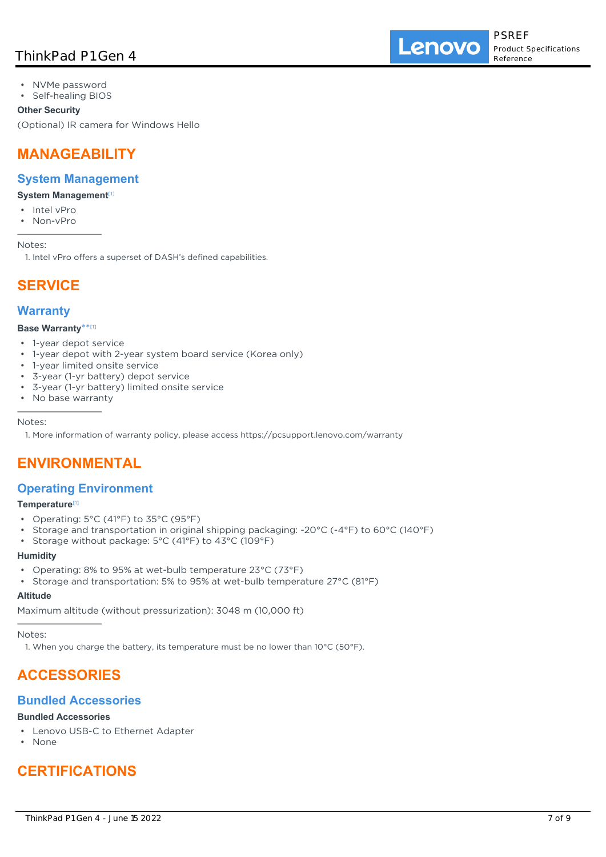## ThinkPad P1 Gen 4

- NVMe password
- Self-healing BIOS

#### **Other Security**

(Optional) IR camera for Windows Hello

## **MANAGEABILITY**

## **System Management**

#### **System Management<sup>[1]</sup>**

- Intel vPro
- Non-vPro

Notes:

1. Intel vPro offers a superset of DASH's defined capabilities.

# **SERVICE**

## **Warranty**

#### **Base Warranty**\*\* [1]

- 1-year depot service
- 1-year depot with 2-year system board service (Korea only)
- 1-year limited onsite service
- 3-year (1-yr battery) depot service
- 3-year (1-yr battery) limited onsite service
- No base warranty

#### Notes:

1. More information of warranty policy, please access https://pcsupport.lenovo.com/warranty

## **ENVIRONMENTAL**

## **Operating Environment**

#### **Temperature**[1]

- Operating: 5°C (41°F) to 35°C (95°F)
- Storage and transportation in original shipping packaging: -20°C (-4°F) to 60°C (140°F)
- Storage without package: 5°C (41°F) to 43°C (109°F)

#### **Humidity**

- Operating: 8% to 95% at wet-bulb temperature 23°C (73°F)
- Storage and transportation: 5% to 95% at wet-bulb temperature 27°C (81°F)

#### **Altitude**

Maximum altitude (without pressurization): 3048 m (10,000 ft)

Notes:

1. When you charge the battery, its temperature must be no lower than  $10^{\circ}$ C (50°F).

# **ACCESSORIES**

## **Bundled Accessories**

## **Bundled Accessories**

- Lenovo USB-C to Ethernet Adapter
- None

# **CERTIFICATIONS**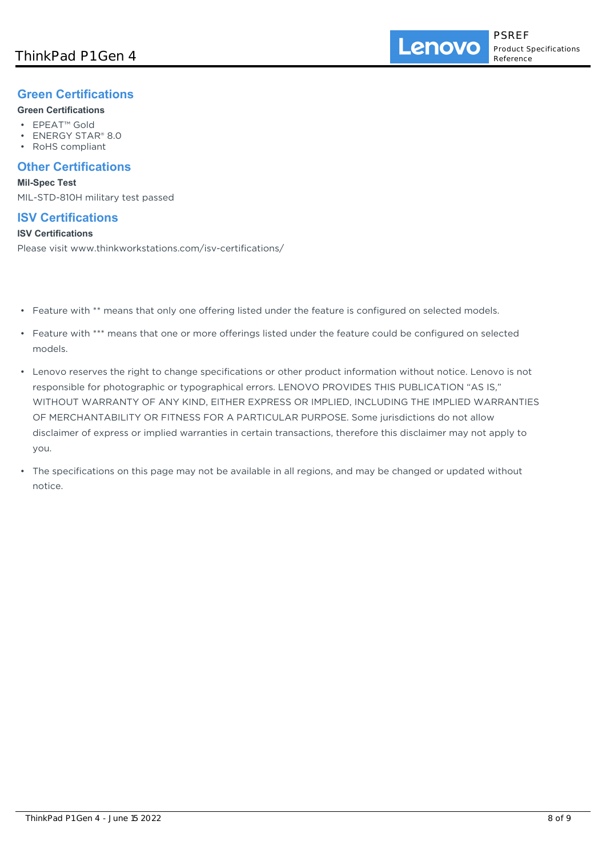## **Green Certifications**

## **Green Certifications**

- EPEAT™ Gold
- ENERGY STAR® 8.0
- RoHS compliant

## **Other Certifications**

#### **Mil-Spec Test**

MIL-STD-810H military test passed

## **ISV Certifications**

#### **ISV Certifications**

Please visit www.thinkworkstations.com/isv-certifications/

- Feature with \*\* means that only one offering listed under the feature is configured on selected models.
- Feature with \*\*\* means that one or more offerings listed under the feature could be configured on selected models.
- Lenovo reserves the right to change specifications or other product information without notice. Lenovo is not responsible for photographic or typographical errors. LENOVO PROVIDES THIS PUBLICATION "AS IS," WITHOUT WARRANTY OF ANY KIND, EITHER EXPRESS OR IMPLIED, INCLUDING THE IMPLIED WARRANTIES OF MERCHANTABILITY OR FITNESS FOR A PARTICULAR PURPOSE. Some jurisdictions do not allow disclaimer of express or implied warranties in certain transactions, therefore this disclaimer may not apply to you.
- The specifications on this page may not be available in all regions, and may be changed or updated without notice.